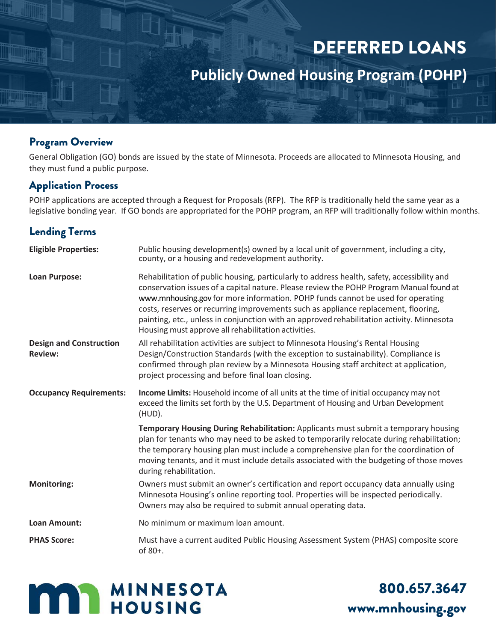# DEFERRED LOANS

**Publicly Owned Housing Program (POHP)**

### Program Overview

General Obligation (GO) bonds are issued by the state of Minnesota. Proceeds are allocated to Minnesota Housing, and they must fund a public purpose.

### Application Process

POHP applications are accepted through a Request for Proposals (RFP). The RFP is traditionally held the same year as a legislative bonding year. If GO bonds are appropriated for the POHP program, an RFP will traditionally follow within months.

# Lending Terms

| <b>Eligible Properties:</b>                      | Public housing development(s) owned by a local unit of government, including a city,<br>county, or a housing and redevelopment authority.                                                                                                                                                                                                                                                                                                                                                                           |
|--------------------------------------------------|---------------------------------------------------------------------------------------------------------------------------------------------------------------------------------------------------------------------------------------------------------------------------------------------------------------------------------------------------------------------------------------------------------------------------------------------------------------------------------------------------------------------|
| Loan Purpose:                                    | Rehabilitation of public housing, particularly to address health, safety, accessibility and<br>conservation issues of a capital nature. Please review the POHP Program Manual found at<br>www.mnhousing.gov for more information. POHP funds cannot be used for operating<br>costs, reserves or recurring improvements such as appliance replacement, flooring,<br>painting, etc., unless in conjunction with an approved rehabilitation activity. Minnesota<br>Housing must approve all rehabilitation activities. |
| <b>Design and Construction</b><br><b>Review:</b> | All rehabilitation activities are subject to Minnesota Housing's Rental Housing<br>Design/Construction Standards (with the exception to sustainability). Compliance is<br>confirmed through plan review by a Minnesota Housing staff architect at application,<br>project processing and before final loan closing.                                                                                                                                                                                                 |
| <b>Occupancy Requirements:</b>                   | Income Limits: Household income of all units at the time of initial occupancy may not<br>exceed the limits set forth by the U.S. Department of Housing and Urban Development<br>(HUD).                                                                                                                                                                                                                                                                                                                              |
|                                                  | Temporary Housing During Rehabilitation: Applicants must submit a temporary housing<br>plan for tenants who may need to be asked to temporarily relocate during rehabilitation;<br>the temporary housing plan must include a comprehensive plan for the coordination of<br>moving tenants, and it must include details associated with the budgeting of those moves<br>during rehabilitation.                                                                                                                       |
| <b>Monitoring:</b>                               | Owners must submit an owner's certification and report occupancy data annually using<br>Minnesota Housing's online reporting tool. Properties will be inspected periodically.<br>Owners may also be required to submit annual operating data.                                                                                                                                                                                                                                                                       |
| <b>Loan Amount:</b>                              | No minimum or maximum loan amount.                                                                                                                                                                                                                                                                                                                                                                                                                                                                                  |
| <b>PHAS Score:</b>                               | Must have a current audited Public Housing Assessment System (PHAS) composite score<br>of 80+.                                                                                                                                                                                                                                                                                                                                                                                                                      |



800.657.3647 [www.mnhousing.gov](http://www.mnhousing.gov/)